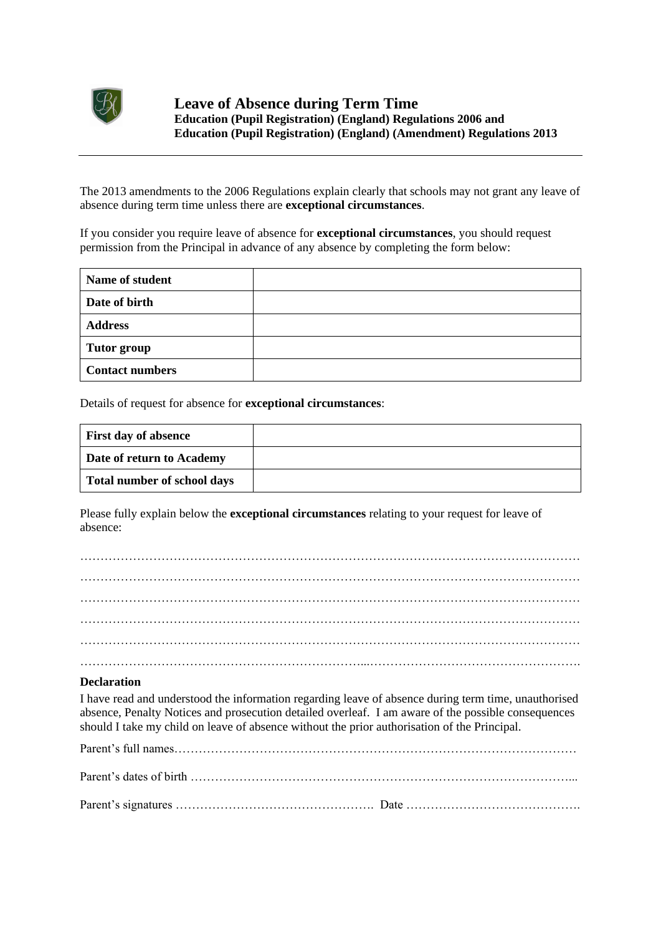

The 2013 amendments to the 2006 Regulations explain clearly that schools may not grant any leave of absence during term time unless there are **exceptional circumstances**.

If you consider you require leave of absence for **exceptional circumstances**, you should request permission from the Principal in advance of any absence by completing the form below:

| <b>Name of student</b> |  |
|------------------------|--|
| Date of birth          |  |
| <b>Address</b>         |  |
| <b>Tutor group</b>     |  |
| <b>Contact numbers</b> |  |

Details of request for absence for **exceptional circumstances**:

| <b>First day of absence</b>        |  |
|------------------------------------|--|
| Date of return to Academy          |  |
| <b>Total number of school days</b> |  |

Please fully explain below the **exceptional circumstances** relating to your request for leave of absence:

## **Declaration**

I have read and understood the information regarding leave of absence during term time, unauthorised absence, Penalty Notices and prosecution detailed overleaf. I am aware of the possible consequences should I take my child on leave of absence without the prior authorisation of the Principal.

Parent's full names………………………………………………………………………………………